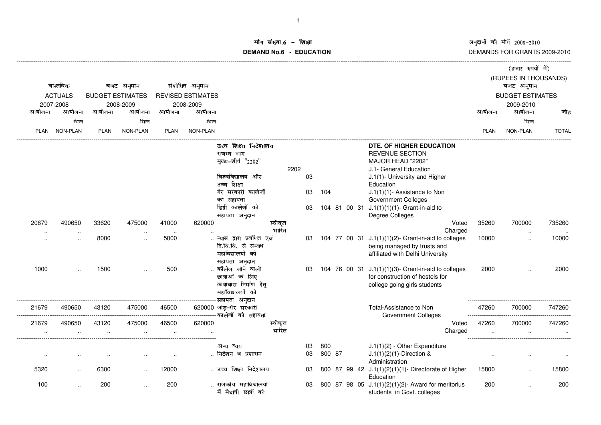अनुदानों की माँगें 2009–2010<br>DEMANDS FOR GRANTS 2009-2010

### ॉग संख्या.6 -<br>WDMs C **DEMAND No.6 - EDUCATIONराक्षा संस्कृतिका संस्कृतिका संस्कृतिका संस्कृतिका संस्कृतिका संस्कृतिका संस्कृतिका संस्कृतिका संस्कृतिका संस्**

|                      |                        |                         |                      |                |                          |                                                 |         |    |        |  |                                                                                        |                                      | (हजार रुपयों में)    |              |
|----------------------|------------------------|-------------------------|----------------------|----------------|--------------------------|-------------------------------------------------|---------|----|--------|--|----------------------------------------------------------------------------------------|--------------------------------------|----------------------|--------------|
|                      | वास्तविक<br>बजट अनुमान |                         |                      | संशोधित अनुमान |                          |                                                 |         |    |        |  |                                                                                        | (RUPEES IN THOUSANDS)<br>बजट अनुमान  |                      |              |
|                      | <b>ACTUALS</b>         | <b>BUDGET ESTIMATES</b> |                      |                | <b>REVISED ESTIMATES</b> |                                                 |         |    |        |  |                                                                                        |                                      |                      |              |
|                      | 2007-2008              |                         | 2008-2009            |                | 2008-2009                |                                                 |         |    |        |  |                                                                                        | <b>BUDGET ESTIMATES</b><br>2009-2010 |                      |              |
| आयोजना               | आयोजना                 | आयोजना                  | आयोजना               | आयोजना         | आयोजना                   |                                                 |         |    |        |  |                                                                                        | आयोजना                               | आयोजना               | जोड          |
|                      |                        |                         |                      |                |                          |                                                 |         |    |        |  |                                                                                        |                                      |                      |              |
|                      | भिन्न                  |                         | भिन्न                |                | भिन्न                    |                                                 |         |    |        |  |                                                                                        |                                      | भिन्न                |              |
| <b>PLAN</b>          | NON-PLAN               | <b>PLAN</b>             | <b>NON-PLAN</b>      | <b>PLAN</b>    | NON-PLAN                 |                                                 |         |    |        |  |                                                                                        | <b>PLAN</b>                          | NON-PLAN             | <b>TOTAL</b> |
|                      |                        |                         |                      |                |                          | उच्च शिक्षा निदेशालय                            |         |    |        |  | DTE, OF HIGHER EDUCATION                                                               |                                      |                      |              |
|                      |                        |                         |                      |                |                          | राजस्व भाग                                      |         |    |        |  | <b>REVENUE SECTION</b>                                                                 |                                      |                      |              |
|                      |                        |                         |                      |                |                          | मुख्य-शीर्ष "2202"                              |         |    |        |  | MAJOR HEAD "2202"                                                                      |                                      |                      |              |
|                      |                        |                         |                      |                |                          |                                                 | 2202    |    |        |  | J.1- General Education                                                                 |                                      |                      |              |
|                      |                        |                         |                      |                |                          | विश्वविद्यालय और                                |         | 03 |        |  | J.1(1)- University and Higher                                                          |                                      |                      |              |
|                      |                        |                         |                      |                |                          | उच्च शिक्षा                                     |         |    |        |  | Education                                                                              |                                      |                      |              |
|                      |                        |                         |                      |                |                          | गैर सरकारी कालेजों                              |         | 03 | 104    |  | J.1(1)(1)- Assistance to Non                                                           |                                      |                      |              |
|                      |                        |                         |                      |                |                          | को सहायता                                       |         |    |        |  | <b>Government Colleges</b>                                                             |                                      |                      |              |
|                      |                        |                         |                      |                |                          | डिग्री कालेजों को                               |         | 03 |        |  | 104 81 00 31 J.1(1)(1)(1)- Grant-in-aid to                                             |                                      |                      |              |
|                      |                        |                         |                      |                |                          | सहायता अनुदान                                   |         |    |        |  | Degree Colleges                                                                        |                                      |                      |              |
| 20679                | 490650                 | 33620                   | 475000               | 41000          | 620000                   |                                                 | स्वीकृत |    |        |  | Voted                                                                                  | 35260                                | 700000               | 735260       |
| $\ddot{\phantom{a}}$ |                        |                         |                      | $\ddotsc$      |                          |                                                 | भारित   |    |        |  | Charged                                                                                |                                      | $\ddotsc$            |              |
|                      | $\ddot{\phantom{a}}$   | 8000                    | $\ddot{\phantom{a}}$ | 5000           |                          | न्यास द्वारा प्रबंधित एवं                       |         | 03 |        |  | 104 77 00 31 J.1(1)(1)(2)- Grant-in-aid to colleges                                    | 10000                                | $\ddot{\phantom{a}}$ | 10000        |
|                      |                        |                         |                      |                |                          | दि.वि.वि. से सम्बध                              |         |    |        |  | being managed by trusts and                                                            |                                      |                      |              |
|                      |                        |                         |                      |                |                          | महाविद्यालयों को                                |         |    |        |  | affiliated with Delhi University                                                       |                                      |                      |              |
| 1000                 |                        | 1500                    |                      | 500            |                          | सहायता अनुदान<br>कॉलेज जाने वाली                |         |    |        |  |                                                                                        | 2000                                 |                      | 2000         |
|                      |                        |                         |                      |                |                          | छात्राओं के लिए                                 |         | 03 |        |  | 104 76 00 31 J.1(1)(1)(3)- Grant-in-aid to colleges<br>for construction of hostels for |                                      |                      |              |
|                      |                        |                         |                      |                |                          | छात्रावास निर्माण हेतु                          |         |    |        |  |                                                                                        |                                      |                      |              |
|                      |                        |                         |                      |                |                          | महाविद्यालयों को                                |         |    |        |  | college going girls students                                                           |                                      |                      |              |
|                      |                        |                         |                      |                |                          | --सहायता अनुदान                                 |         |    |        |  |                                                                                        |                                      |                      |              |
| 21679                | 490650                 | 43120                   | 475000               | 46500          |                          | 620000 जोड़-गैर सरकारी                          |         |    |        |  | Total-Assistance to Non                                                                | 47260                                | 700000               | 747260       |
|                      |                        |                         |                      |                |                          | --------------------------- कालेजों  को  सहायता |         |    |        |  | <b>Government Colleges</b>                                                             | -----------------                    |                      |              |
| 21679                | 490650                 | 43120                   | 475000               | 46500          | 620000                   |                                                 | स्वीकृत |    |        |  | Voted                                                                                  | 47260                                | 700000               | 747260       |
|                      |                        |                         |                      | $\ddotsc$      |                          |                                                 | भारित   |    |        |  | Charged                                                                                |                                      |                      |              |
|                      |                        |                         |                      |                |                          |                                                 |         |    |        |  |                                                                                        |                                      |                      |              |
|                      |                        |                         |                      |                |                          | अन्य व्यय                                       |         | 03 | 800    |  | J.1(1)(2) - Other Expenditure                                                          |                                      |                      |              |
|                      |                        |                         |                      |                |                          | निर्देशन व प्रशासन                              |         | 03 | 800 87 |  | $J.1(1)(2)(1)$ -Direction &                                                            |                                      |                      |              |
|                      |                        |                         |                      |                |                          |                                                 |         |    |        |  | Administration                                                                         |                                      |                      |              |
| 5320                 |                        | 6300                    |                      | 12000          |                          | उच्च शिक्षा निदेशालय                            |         | 03 |        |  | 800 87 99 42 J.1(1)(2)(1)(1)- Directorate of Higher                                    | 15800                                |                      | 15800        |
|                      |                        |                         |                      |                |                          |                                                 |         |    |        |  | Education                                                                              |                                      |                      |              |
| 100                  |                        | 200                     | $\ddot{\phantom{a}}$ | 200            |                          | राजकीय महाविधालयों<br>में मेघावी छात्रों को     |         | 03 |        |  | 800 87 98 05 J.1(1)(2)(1)(2)- Award for meritorius                                     | 200                                  |                      | 200          |
|                      |                        |                         |                      |                |                          |                                                 |         |    |        |  | students in Govt. colleges                                                             |                                      |                      |              |
|                      |                        |                         |                      |                |                          |                                                 |         |    |        |  |                                                                                        |                                      |                      |              |

-------------------------------------------------------------------------------------------------------------------------------------------------------------------------------------------------------------------------------------------------------------------------------------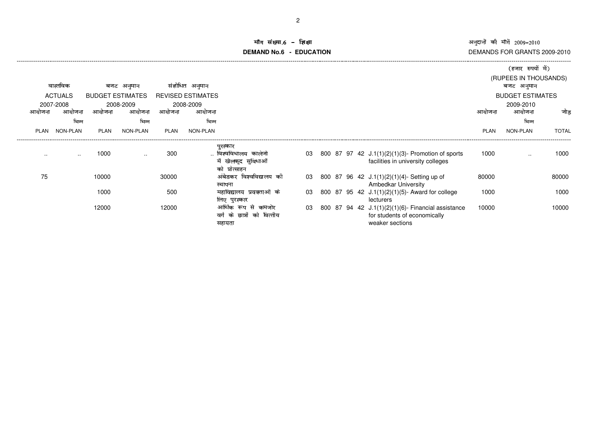अनुदानों की माँगें 2009–2010<br>DEMANDS FOR GRANTS 2009-2010

#### iंग संख्या.6 –<br>\\DN\c C **DEMAND No.6 - EDUCATIONराक्षा संस्कृति के बाद से प्राप्त करने के बाद में बाद से प्राप्त करने के बाद में जाएगा। ज्यों के बाद में बाद म**

|       |                 |                         |                 |             |                          |                            |    |  |                                                    |             | (हजार रुपयों में)       |              |
|-------|-----------------|-------------------------|-----------------|-------------|--------------------------|----------------------------|----|--|----------------------------------------------------|-------------|-------------------------|--------------|
|       |                 |                         |                 |             |                          |                            |    |  |                                                    |             | (RUPEES IN THOUSANDS)   |              |
|       | वास्तविक        |                         | बजट अनुमान      |             | संशोधित अनुमान           |                            |    |  |                                                    |             | बजट अनुमान              |              |
|       | <b>ACTUALS</b>  | <b>BUDGET ESTIMATES</b> |                 |             | <b>REVISED ESTIMATES</b> |                            |    |  |                                                    |             | <b>BUDGET ESTIMATES</b> |              |
|       | 2007-2008       |                         | 2008-2009       |             | 2008-2009                |                            |    |  |                                                    |             | 2009-2010               |              |
| आयोजन | आयोजना          | आयोजना                  | आयोजना          | आयोजना      | आयोजना                   |                            |    |  |                                                    | आयोजन       | आयोजना                  | जोड          |
|       | भिन्न           |                         | भिन्न           |             | भिन्न                    |                            |    |  |                                                    |             | भिन्न                   |              |
| PLAN  | <b>NON-PLAN</b> | <b>PLAN</b>             | <b>NON-PLAN</b> | <b>PLAN</b> | <b>NON-PLAN</b>          |                            |    |  |                                                    | <b>PLAN</b> | NON-PLAN                | <b>TOTAL</b> |
|       |                 |                         |                 |             |                          | पुरस्कार                   |    |  |                                                    |             |                         |              |
|       | $\cdot$ .       | 1000                    | . .             | 300         |                          | विश्वविधालय<br>कालेजो      | 03 |  | 800 87 97 42 J.1(1)(2)(1)(3)- Promotion of sports  | 1000        | $\cdot$ .               | 1000         |
|       |                 |                         |                 |             |                          | में खेलकूद सुविधाओं        |    |  | facilities in university colleges                  |             |                         |              |
|       |                 |                         |                 |             |                          | को प्रोत्साहन              |    |  |                                                    |             |                         |              |
| 75    |                 | 10000                   |                 | 30000       |                          | अंबेडकर विश्वविद्यालय की   | 03 |  | 800 87 96 42 J.1(1)(2)(1)(4)- Setting up of        | 80000       |                         | 80000        |
|       |                 |                         |                 |             |                          | स्थापना                    |    |  | <b>Ambedkar University</b>                         |             |                         |              |
|       |                 | 1000                    |                 | 500         |                          | महाविद्यालय प्रवक्ताओं के  | 03 |  | 800 87 95 42 J.1(1)(2)(1)(5)- Award for college    | 1000        |                         | 1000         |
|       |                 |                         |                 |             |                          | लिए पुरस्कार               |    |  | lecturers                                          |             |                         |              |
|       |                 | 12000                   |                 | 12000       |                          | आर्थिक रूप से कमजोर        | 03 |  | 800 87 94 42 J.1(1)(2)(1)(6)- Financial assistance | 10000       |                         | 10000        |
|       |                 |                         |                 |             |                          | वर्ग के छात्रों को वित्तीय |    |  | for students of economically                       |             |                         |              |
|       |                 |                         |                 |             |                          | सहायता                     |    |  | weaker sections                                    |             |                         |              |

-------------------------------------------------------------------------------------------------------------------------------------------------------------------------------------------------------------------------------------------------------------------------------------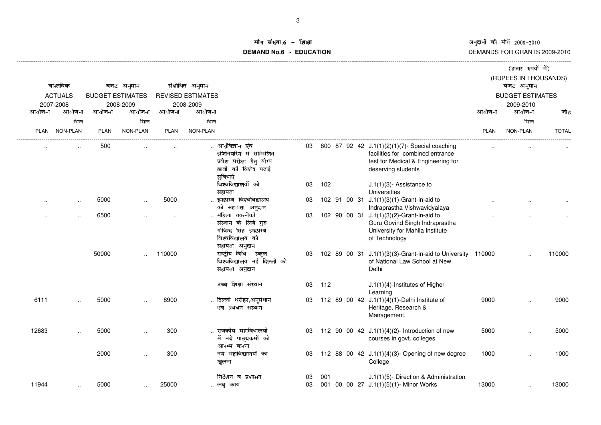अनुदानों की माँगें 2009–2010 DEMANDS FOR GRANTS 2009-2010

# माँग संख्या.6 - शिक्षा **DEMAND No.6 - EDUCATION**

|             |                 |             |                         |             |                          |                                                                                                               |          |     |  |                                                                                                                                                |             | (हजार रुपयों में)                   |              |  |
|-------------|-----------------|-------------|-------------------------|-------------|--------------------------|---------------------------------------------------------------------------------------------------------------|----------|-----|--|------------------------------------------------------------------------------------------------------------------------------------------------|-------------|-------------------------------------|--------------|--|
|             | वास्तविक        |             | बजट अनुमान              |             | संशोधित अनुमान           |                                                                                                               |          |     |  |                                                                                                                                                |             | (RUPEES IN THOUSANDS)<br>बजट अनुमान |              |  |
|             | <b>ACTUALS</b>  |             | <b>BUDGET ESTIMATES</b> |             | <b>REVISED ESTIMATES</b> |                                                                                                               |          |     |  |                                                                                                                                                |             | <b>BUDGET ESTIMATES</b>             |              |  |
|             | 2007-2008       |             | 2008-2009               |             | 2008-2009                |                                                                                                               |          |     |  |                                                                                                                                                |             | 2009-2010                           |              |  |
| आयोजना      | आयोजना          | आयोजना      | आयोजना                  | आयोजना      | आयोजना                   |                                                                                                               |          |     |  |                                                                                                                                                | आयोजना      | आयोजना                              | जोड़         |  |
|             | भिन्न           |             | भिन्न                   |             | भिन्न                    |                                                                                                               |          |     |  |                                                                                                                                                |             | भिन्न                               |              |  |
| <b>PLAN</b> | <b>NON-PLAN</b> | <b>PLAN</b> | <b>NON-PLAN</b>         | <b>PLAN</b> | NON-PLAN                 |                                                                                                               |          |     |  |                                                                                                                                                | <b>PLAN</b> | NON-PLAN                            | <b>TOTAL</b> |  |
|             |                 | 500         |                         |             |                          | आर्युविज्ञान एंव<br>इजिनिंयरिग मे सम्मिलित<br>प्रवेश परीक्षा हेतु योग्य<br>छात्रों कों विशेष पढाई<br>सुविधाऐँ | 03       |     |  | 800 87 92 42 J.1(1)(2)(1)(7)- Special coaching<br>facilities for combined entrance<br>test for Medical & Engineering for<br>deserving students |             |                                     |              |  |
|             |                 |             |                         |             |                          | विश्वविद्यालयों को<br>सहायता                                                                                  | 03       | 102 |  | $J.1(1)(3)$ - Assistance to<br><b>Universities</b>                                                                                             |             |                                     |              |  |
|             | $\cdot$ .       | 5000        |                         | 5000        |                          | इन्द्रप्रस्थ विश्वविद्यालय<br>को सहायता अनुदान                                                                | 03       |     |  | 102 91 00 31 J.1(1)(3)(1)-Grant-in-aid to<br>Indraprastha Vishwavidyalaya                                                                      |             |                                     |              |  |
|             |                 | 6500        |                         |             |                          | महिला तकनीकी<br>संस्थान के लिये गुरु<br>गोविन्द सिंह इन्द्रप्रस्थ<br>विश्वविद्यालय को<br>सहायता अनुदान        | 03       |     |  | 102 90 00 31 J.1(1)(3)(2)-Grant-in-aid to<br>Guru Govind Singh Indraprastha<br>University for Mahila Institute<br>of Technology                |             |                                     |              |  |
|             |                 | 50000       |                         | 110000      |                          | राष्ट्रीय विधि स्कूल<br>विश्वविद्यालय नई दिल्ली को<br>सहायता अनुदान                                           | 03       |     |  | 102 89 00 31 J.1(1)(3)(3)-Grant-in-aid to University 110000<br>of National Law School at New<br>Delhi                                          |             |                                     | 110000       |  |
|             |                 |             |                         |             |                          | उच्च शिक्षा संस्थान                                                                                           | 03       | 112 |  | $J.1(1)(4)$ -Institutes of Higher<br>Learning                                                                                                  |             |                                     |              |  |
| 6111        |                 | 5000        |                         | 8900        |                          | दिल्ली धरोहर,अनुसंधान<br>एवं प्रबंधन संस्थान                                                                  | 03       |     |  | 112 89 00 42 J.1(1)(4)(1)-Delhi Institute of<br>Heritage, Research &<br>Management.                                                            | 9000        |                                     | 9000         |  |
| 12683       |                 | 5000        |                         | 300         |                          | राजकीय महाविधालयों<br>में नये पाठ्यकर्मों को<br>आरम्भ करना                                                    | 03       |     |  | 112 90 00 42 J.1(1)(4)(2)- Introduction of new<br>courses in govt. colleges                                                                    | 5000        |                                     | 5000         |  |
|             |                 | 2000        |                         | 300         |                          | नये महाविद्यालयों का<br>खुलना                                                                                 | 03       |     |  | 112 88 00 42 J.1(1)(4)(3)- Opening of new degree<br>College                                                                                    | 1000        | $\ddot{\phantom{a}}$                | 1000         |  |
| 11944       | $\cdot$ .       | 5000        | $\ddot{\phantom{a}}$    | 25000       |                          | निर्देशन व प्रशासन<br>लघु कार्य                                                                               | 03<br>03 | 001 |  | J.1(1)(5)- Direction & Administration<br>001 00 00 27 J.1(1)(5)(1)- Minor Works                                                                | 13000       | $\ddot{\phantom{a}}$                | 13000        |  |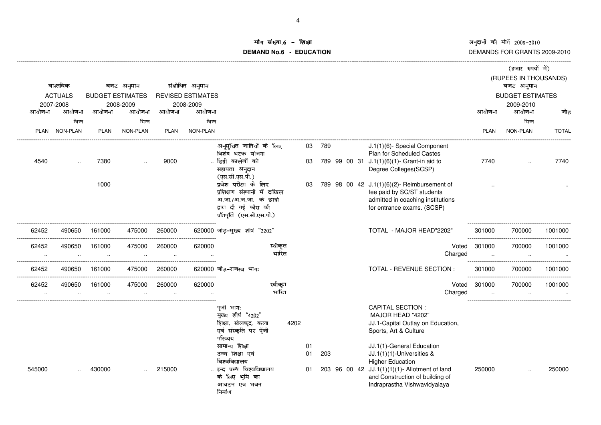अनुदानों की माँगें 2009–2010<br>DEMANDS FOR GRANTS 2009-2010

### iॅग संख्या.6 –<br>' **DEMAND No.6 - EDUCATION**शक्षा सामग्रीहरू के साथ समय करने के साथ समय करने के अन्य प्रकाश करने के अन्य प्रकाश करने के अन्य प्रकाश करने क

|                          |                 |             |                         |             |                          |                                                                                                                                 |      |                |        |  |                                                                                                                                                                                                       |         |             | (हजार रुपयों में)       |              |
|--------------------------|-----------------|-------------|-------------------------|-------------|--------------------------|---------------------------------------------------------------------------------------------------------------------------------|------|----------------|--------|--|-------------------------------------------------------------------------------------------------------------------------------------------------------------------------------------------------------|---------|-------------|-------------------------|--------------|
| वास्तविक                 |                 | बजट अनुमान  |                         |             | संशोधित अनुमान           |                                                                                                                                 |      |                |        |  |                                                                                                                                                                                                       |         |             | (RUPEES IN THOUSANDS)   |              |
|                          | <b>ACTUALS</b>  |             | <b>BUDGET ESTIMATES</b> |             | <b>REVISED ESTIMATES</b> |                                                                                                                                 |      |                |        |  |                                                                                                                                                                                                       |         |             | <b>BUDGET ESTIMATES</b> |              |
|                          | 2007-2008       |             | 2008-2009               |             | 2008-2009                |                                                                                                                                 |      |                |        |  |                                                                                                                                                                                                       |         |             | 2009-2010               |              |
| आयोजना                   | आयोजना<br>भिन्न | आयोजना      | आयोजना<br>भिन्न         | आयोजना      | आयोजना<br>भिन्न          |                                                                                                                                 |      |                |        |  |                                                                                                                                                                                                       |         | आयोजना      | आयोजना<br>भिन्न         | जोड          |
| <b>PLAN</b>              | <b>NON-PLAN</b> | <b>PLAN</b> | <b>NON-PLAN</b>         | <b>PLAN</b> | <b>NON-PLAN</b>          |                                                                                                                                 |      |                |        |  |                                                                                                                                                                                                       |         | <b>PLAN</b> | <b>NON-PLAN</b>         | <b>TOTAL</b> |
|                          |                 |             |                         |             |                          |                                                                                                                                 |      |                |        |  |                                                                                                                                                                                                       |         |             |                         |              |
|                          |                 |             |                         |             |                          | अनूसुचित जातियों के लिए<br>विशेष घटक योजना                                                                                      |      |                | 03 789 |  | J.1(1)(6)- Special Component<br><b>Plan for Scheduled Castes</b>                                                                                                                                      |         |             |                         |              |
| 4540                     |                 | 7380        |                         | 9000        |                          | डिग्री कालेजों को                                                                                                               |      | 03             |        |  | 789 99 00 31 J.1(1)(6)(1)- Grant-in aid to                                                                                                                                                            |         | 7740        |                         | 7740         |
|                          |                 |             |                         |             |                          | सहायता अनुदान                                                                                                                   |      |                |        |  | Degree Colleges(SCSP)                                                                                                                                                                                 |         |             |                         |              |
|                          |                 | 1000        |                         |             |                          | (एस.सी.एस.पी.)<br>प्रवेश परीक्षा के लिए                                                                                         |      |                |        |  |                                                                                                                                                                                                       |         |             |                         |              |
|                          |                 |             |                         |             |                          | प्रशिक्षण संस्थानों में दाखिल                                                                                                   |      | 03             |        |  | 789 98 00 42 J.1(1)(6)(2)- Reimbursement of<br>fee paid by SC/ST students                                                                                                                             |         |             |                         |              |
|                          |                 |             |                         |             |                          | अ.जा./अ.ज.जा. के छात्रों                                                                                                        |      |                |        |  | admitted in coaching institutions                                                                                                                                                                     |         |             |                         |              |
|                          |                 |             |                         |             |                          | द्वारा दी गई फीस की                                                                                                             |      |                |        |  | for entrance exams. (SCSP)                                                                                                                                                                            |         |             |                         |              |
|                          |                 |             |                         |             |                          | प्रतिपूर्ति (एस.सी.एस.पी.)                                                                                                      |      |                |        |  |                                                                                                                                                                                                       |         |             |                         |              |
| 62452                    | 490650          | 161000      | 475000                  | 260000      |                          | 620000 जोड़-मुख्य शीर्ष "2202"                                                                                                  |      |                |        |  | TOTAL - MAJOR HEAD"2202"                                                                                                                                                                              |         | 301000      | 700000                  | 1001000      |
| 62452                    | 490650          | 161000      | 475000                  | 260000      | 620000                   | स्वीकृत                                                                                                                         |      |                |        |  |                                                                                                                                                                                                       | Voted   | 301000      | 700000                  | 1001000      |
| $\cdot$ .                | $\cdot$ .       | $\ddotsc$   | $\ddotsc$               | $\ddotsc$   |                          | भारित                                                                                                                           |      |                |        |  |                                                                                                                                                                                                       | Charged |             | $\ddotsc$               |              |
| 62452                    | 490650          | 161000      | 475000                  | 260000      |                          | 620000 जोड–राजस्व भागः                                                                                                          |      |                |        |  | TOTAL - REVENUE SECTION :                                                                                                                                                                             |         | 301000      | 700000                  | 1001000      |
| ---------------<br>62452 | 490650          | 161000      | 475000                  | 260000      | -------------<br>620000  | स्वीकृत                                                                                                                         |      |                |        |  |                                                                                                                                                                                                       | Voted   | 301000      | 700000                  | 1001000      |
|                          |                 |             |                         |             |                          | भारित                                                                                                                           |      |                |        |  |                                                                                                                                                                                                       | Charged |             |                         |              |
|                          |                 |             |                         |             |                          | पुंजी भागः<br>मुख्य शीर्ष "4202"<br>शिक्षा, खेलकूद, कला<br>एवं संस्कृति पर पूँजी<br>परिव्यय                                     | 4202 |                |        |  | <b>CAPITAL SECTION:</b><br>MAJOR HEAD "4202"<br>JJ.1-Capital Outlay on Education,<br>Sports, Art & Culture                                                                                            |         |             |                         |              |
| 545000                   |                 | 430000      |                         | 215000      |                          | सामान्य शिक्षा<br>उच्च शिक्षा एवं<br>विश्वविद्यालय<br>इन्द्र प्रस्थ विश्वविद्यालय<br>के लिए भूमि का<br>आवंटन एवं भवन<br>निर्माण |      | 01<br>01<br>01 | 203    |  | JJ.1(1)-General Education<br>JJ.1(1)(1)-Universities &<br><b>Higher Education</b><br>203 96 00 42 JJ.1(1)(1)(1)- Allotment of land<br>and Construction of building of<br>Indraprastha Vishwavidyalaya |         | 250000      |                         | 250000       |

-------------------------------------------------------------------------------------------------------------------------------------------------------------------------------------------------------------------------------------------------------------------------------------